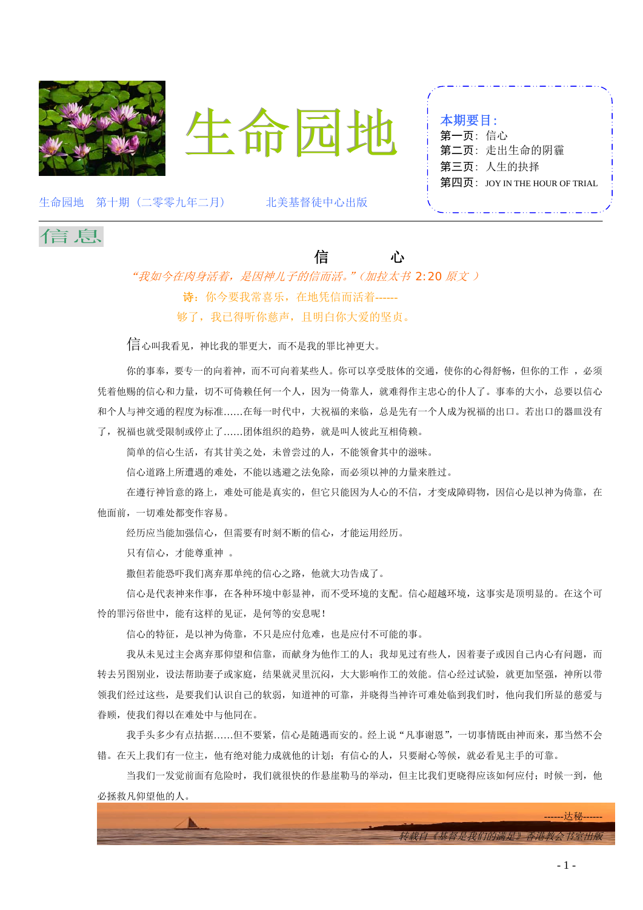



| 本期要目:  |                               |
|--------|-------------------------------|
| 第一页:信心 |                               |
|        | 第二页: 走出生命的阴霾                  |
|        | 第三页: 人生的抉择                    |
|        | 第四页: JOY IN THE HOUR OF TRIAL |
|        |                               |

生命园地 第十期 (二零零九年二月) 北美基督徒中心出版



## 信心

"我如今在肉身活着,是因神儿子的信而活。"(加拉太书 *2:20* 原文 ) 诗:你今要我常喜乐,在地凭信而活着------ 够了,我已得听你慈声,且明白你大爱的坚贞。

信心叫我看见,神比我的罪更大,而不是我的罪比神更大。

你的事奉,要专一的向着神,而不可向着某些人。你可以享受肢体的交通,使你的心得舒畅,但你的工作,必须 凭着他赐的信心和力量,切不可倚赖任何一个人,因为一倚靠人,就难得作主忠心的仆人了。事奉的大小,总要以信心 和个人与神交通的程度为标准……在每一时代中,大祝福的来临,总是先有一个人成为祝福的出口。若出口的器皿没有 了,祝福也就受限制或停止了……团体组织的趋势,就是叫人彼此互相倚赖。

简单的信心生活,有其甘美之处,未曾尝过的人,不能领會其中的滋味。

信心道路上所遭遇的难处,不能以逃避之法免除,而必须以神的力量来胜过。

在遵行神旨意的路上,难处可能是真实的,但它只能因为人心的不信,才变成障碍物,因信心是以神为倚靠,在 他面前,一切难处都变作容易。

经历应当能加强信心,但需要有时刻不断的信心,才能运用经历。

只有信心,才能尊重神 。

撒但若能恐吓我们离弃那单纯的信心之路,他就大功告成了。

信心是代表神来作事,在各种环境中彰显神,而不受环境的支配。信心超越环境,这事实是顶明显的。在这个可 怜的罪污俗世中,能有这样的见证,是何等的安息呢!

信心的特征,是以神为倚靠,不只是应付危难,也是应付不可能的事。

我从未见过主会离弃那仰望和信靠,而献身为他作工的人;我却见过有些人,因着妻子或因自己内心有问题,而 转去另图别业,设法帮助妻子或家庭,结果就灵里沉闷,大大影响作工的效能。信心经过试验,就更加坚强,神所以带 领我们经过这些,是要我们认识自己的软弱,知道神的可靠,并晓得当神许可难处临到我们时,他向我们所显的慈爱与 眷顾,使我们得以在难处中与他同在。

我手头多少有点拮据……但不要紧,信心是随遇而安的。经上说"凡事谢恩",一切事情既由神而来,那当然不会 错。在天上我们有一位主,他有绝对能力成就他的计划;有信心的人,只要耐心等候,就必看见主手的可靠。

当我们一发觉前面有危险时,我们就很快的作悬崖勒马的举动,但主比我们更晓得应该如何应付;时候一到,他 必拯救凡仰望他的人。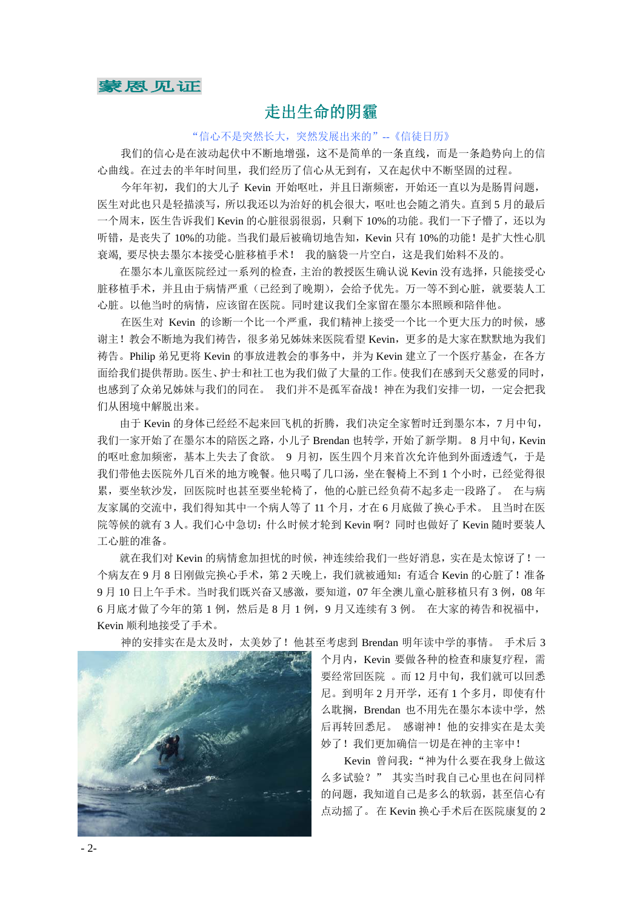

### 走出生命的阴霾

"信心不是突然长大,突然发展出来的"--《信徒日历》

我们的信心是在波动起伏中不断地增强,这不是简单的一条直线,而是一条趋势向上的信 心曲线。在过去的半年时间里,我们经历了信心从无到有,又在起伏中不断坚固的过程。

今年年初,我们的大儿子 Kevin 开始呕吐,并且日渐频密,开始还一直以为是肠胃问题, 医生对此也只是轻描淡写,所以我还以为治好的机会很大,呕吐也会随之消失。直到 5 月的最后 一个周末,医生告诉我们 Kevin 的心脏很弱很弱,只剩下 10%的功能。我们一下子懵了,还以为 听错,是丧失了10%的功能。当我们最后被确切地告知,Kevin 只有 10%的功能!是扩大性心肌 衰竭, 要尽快去墨尔本接受心脏移植手术! 我的脑袋一片空白,这是我们始料不及的。

在墨尔本儿童医院经过一系列的检查,主治的教授医生确认说 Kevin 没有选择,只能接受心 脏移植手术,并且由于病情严重(已经到了晚期),会给予优先。万一等不到心脏,就要装人工 心脏。以他当时的病情,应该留在医院。同时建议我们全家留在墨尔本照顾和陪伴他。

在医生对 Kevin 的诊断一个比一个严重, 我们精神上接受一个比一个更大压力的时候, 感 谢主!教会不断地为我们祷告,很多弟兄姊妹来医院看望 Kevin,更多的是大家在默默地为我们 祷告。Philip 弟兄更将 Kevin 的事放进教会的事务中,并为 Kevin 建立了一个医疗基金, 在各方 面给我们提供帮助。医生、护士和社工也为我们做了大量的工作。使我们在感到天父慈爱的同时, 也感到了众弟兄姊妹与我们的同在。 我们并不是孤军奋战!神在为我们安排一切,一定会把我 们从困境中解脱出来。

由于 Kevin 的身体已经经不起来回飞机的折腾,我们决定全家暂时迁到墨尔本,7 月中旬, 我们一家开始了在墨尔本的陪医之路,小儿子 Brendan 也转学,开始了新学期。8月中旬, Kevin 的呕吐愈加频密,基本上失去了食欲。 9 月初,医生四个月来首次允许他到外面透透气,于是 我们带他去医院外几百米的地方晚餐。他只喝了几口汤,坐在餐椅上不到 1 个小时,已经觉得很 累,要坐软沙发,回医院时也甚至要坐轮椅了,他的心脏已经负荷不起多走一段路了。 在与病 友家属的交流中,我们得知其中一个病人等了 11 个月,才在 6 月底做了换心手术。 且当时在医 院等候的就有 3 人。我们心中急切:什么时候才轮到 Kevin 啊?同时也做好了 Kevin 随时要装人 工心脏的准备。

就在我们对 Kevin 的病情愈加担忧的时候,神连续给我们一些好消息,实在是太惊讶了!一 个病友在 9 月 8 日刚做完换心手术, 第 2 天晚上, 我们就被通知: 有适合 Kevin 的心脏了! 准备 9 月 10 日上午手术。当时我们既兴奋又感激,要知道, 07 年全澳儿童心脏移植只有 3 例, 08 年 6 月底才做了今年的第 1 例, 然后是 8 月 1 例, 9 月又连续有 3 例。在大家的祷告和祝福中, Kevin 顺利地接受了手术。

神的安排实在是太及时,太美妙了!他甚至考虑到 Brendan 明年读中学的事情。 手术后 3



个月内, Kevin 要做各种的检查和康复疗程, 需 要经常回医院 。而 12 月中旬,我们就可以回悉 尼。到明年2月开学,还有1个多月,即使有什 么耽搁, Brendan 也不用先在墨尔本读中学, 然 后再转回悉尼。 感谢神!他的安排实在是太美 妙了!我们更加确信一切是在神的主宰中!

Kevin 曾问我:"神为什么要在我身上做这 么多试验?" 其实当时我自己心里也在问同样 的问题,我知道自己是多么的软弱,甚至信心有 点动摇了。在 Kevin 换心手术后在医院康复的 2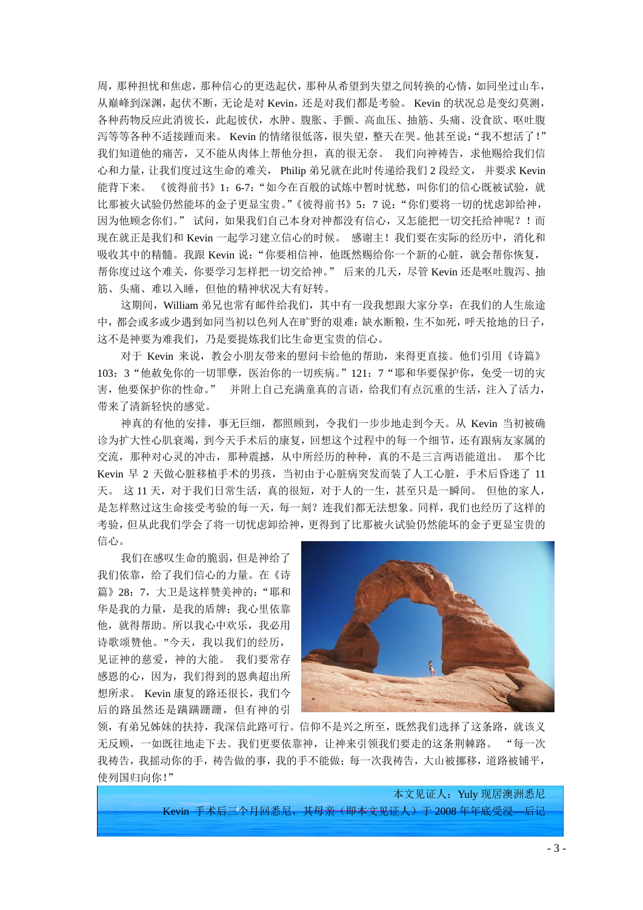周,那种担忧和焦虑,那种信心的更迭起伏,那种从希望到失望之间转换的心情,如同坐过山车, 从巅峰到深渊,起伏不断,无论是对Kevin,还是对我们都是考验。 Kevin 的状况总是变幻莫测, 各种药物反应此消彼长,此起彼伏,水肿、腹胀、手颤、高血压、抽筋、头痛、没食欲、呕吐腹 泻等等各种不适接踵而来。 Kevin 的情绪很低落,很失望,整天在哭。他甚至说:"我不想活了!" 我们知道他的痛苦,又不能从肉体上帮他分担,真的很无奈。 我们向神祷告,求他赐给我们信 心和力量,让我们度过这生命的难关, Philip 弟兄就在此时传递给我们 2 段经文, 并要求 Kevin 能背下来。《彼得前书》1:6-7:"如今在百般的试炼中暂时忧愁,叫你们的信心既被试验,就 比那被火试验仍然能坏的金子更显宝贵。"《彼得前书》5:7 说: "你们要将一切的忧虑卸给神, 因为他顾念你们。" 试问,如果我们自己本身对神都没有信心,又怎能把一切交托给神呢?!而 现在就正是我们和 Kevin 一起学习建立信心的时候。 感谢主!我们要在实际的经历中,消化和 吸收其中的精髓。我跟 Kevin 说: "你要相信神, 他既然赐给你一个新的心脏, 就会帮你恢复, 帮你度过这个难关,你要学习怎样把一切交给神。" 后来的几天,尽管 Kevin 还是呕吐腹泻、抽 筋、头痛、难以入睡,但他的精神状况大有好转。

这期间, William 弟兄也常有邮件给我们, 其中有一段我想跟大家分享: 在我们的人生旅途 中,都会或多或少遇到如同当初以色列人在旷野的艰难:缺水断粮,生不如死,呼天抢地的日子, 这不是神要为难我们,乃是要提炼我们比生命更宝贵的信心。

对于 Kevin 来说,教会小朋友带来的慰问卡给他的帮助,来得更直接。他们引用《诗篇》 103:3"他赦免你的一切罪孽,医治你的一切疾病。"121:7"耶和华要保护你,免受一切的灾 害,他要保护你的性命。" 并附上自己充满童真的言语,给我们有点沉重的生活,注入了活力, 带来了清新轻快的感觉。

神真的有他的安排,事无巨细,都照顾到,令我们一步步地走到今天。从 Kevin 当初被确 诊为扩大性心肌衰竭,到今天手术后的康复,回想这个过程中的每一个细节,还有跟病友家属的 交流,那种对心灵的冲击,那种震撼,从中所经历的种种,真的不是三言两语能道出。 那个比 Kevin 早 2 天做心脏移植手术的男孩,当初由于心脏病突发而装了人工心脏,手术后昏迷了 11 天。 这 11 天,对于我们日常生活,真的很短,对于人的一生,甚至只是一瞬间。 但他的家人, 是怎样熬过这生命接受考验的每一天,每一刻?连我们都无法想象。同样,我们也经历了这样的 考验,但从此我们学会了将一切忧虑卸给神,更得到了比那被火试验仍然能坏的金子更显宝贵的 信心。

我们在感叹生命的脆弱,但是神给了 我们依靠,给了我们信心的力量。在《诗 篇》28: 7, 大卫是这样赞美神的: "耶和 华是我的力量,是我的盾牌;我心里依靠 他,就得帮助。所以我心中欢乐,我必用 诗歌颂赞他。"今天,我以我们的经历, 见证神的慈爱,神的大能。 我们要常存 感恩的心,因为,我们得到的恩典超出所 想所求。 Kevin 康复的路还很长,我们今 后的路虽然还是蹒蹒跚跚,但有神的引



领,有弟兄姊妹的扶持,我深信此路可行。信仰不是兴之所至,既然我们选择了这条路,就该义 无反顾,一如既往地走下去。我们更要依靠神,让神来引领我们要走的这条荆棘路。 "每一次 我祷告,我摇动你的手,祷告做的事,我的手不能做;每一次我祷告,大山被挪移,道路被铺平, 使列国归向你!"

> 本文见证人:Yuly 现居澳洲悉尼 Kevin 手术后三个月回悉尼, 其母亲(即本文见证人)于 2008 年年底受浸—后记